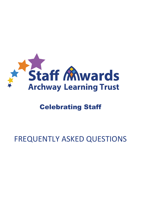

## Celebrating Staff

# FREQUENTLY ASKED QUESTIONS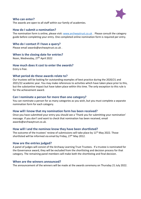

#### **Who can enter?**

The awards are open to all staff within our family of academies.

#### **How do I submit a nomination?**

The nomination form is online, please visit: [www.archwaytrust.co.uk](http://www.archwaytrust.co.uk/) . Please consult the category guide before completing your entry. One completed online nomination form is required per entry.

#### **Who do I contact if I have a query?**

Please email awards@archwaytrust.co.uk .

#### **When is the closing date for entries?**

Noon, Wednesday, 27<sup>th</sup> April 2022

#### **How much does it cost to enter the awards?**

Entry is free.

#### **What period do these awards relate to?**

Our trustees will be looking for outstanding examples of best practice during the 2020/21 and 2021/22 academic year. You may make references to activities which have taken place prior to this, but the substantive impact but have taken place within this time. The only exception to this rule is for the achievement award.

#### **Can I nominate a person for more than one category?**

You can nominate a person for as many categories as you wish, but you must complete a separate nomination form for each category.

#### **How will I know that my nomination form has been received?**

Once you have submitted your entry you should see a 'Thank you for submitting your nomination' message. If you don't and want to check that nomination has been received, email [awards@archwaytrust.co.uk.](mailto:awards@archwaytrust.co.uk)

#### **How will I and the nominee know they have been shortlisted?**

The outcome of the trustees' review of submissions will take place by  $11<sup>th</sup>$  May 2022. Those shortlisted will be informed via email by Friday, 27<sup>th</sup> May 2012.

#### **How are the entries judged?**

A panel of judges will consist of the Archway Learning Trust Trustees. If a trustee is nominated for the Governance award, they will be excluded from the shortlisting and decision process for that category. The remaining panel members will make both the shortlisting and final decision.

#### **When are the winners announced?**

The announcement of the winners will be made at the awards ceremony on Thursday 21 July 2022.